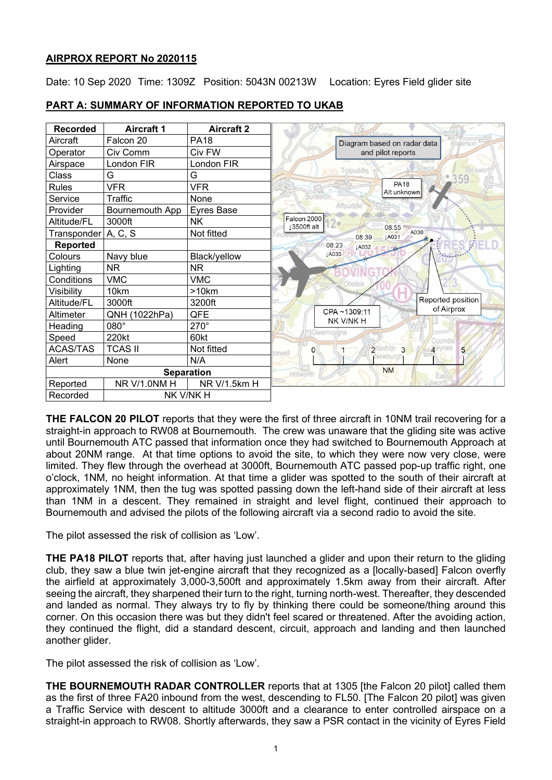### **AIRPROX REPORT No 2020115**

Date: 10 Sep 2020 Time: 1309Z Position: 5043N 00213W Location: Eyres Field glider site



# **PART A: SUMMARY OF INFORMATION REPORTED TO UKAB**

**THE FALCON 20 PILOT** reports that they were the first of three aircraft in 10NM trail recovering for a straight-in approach to RW08 at Bournemouth. The crew was unaware that the gliding site was active until Bournemouth ATC passed that information once they had switched to Bournemouth Approach at about 20NM range. At that time options to avoid the site, to which they were now very close, were limited. They flew through the overhead at 3000ft, Bournemouth ATC passed pop-up traffic right, one o'clock, 1NM, no height information. At that time a glider was spotted to the south of their aircraft at approximately 1NM, then the tug was spotted passing down the left-hand side of their aircraft at less than 1NM in a descent. They remained in straight and level flight, continued their approach to Bournemouth and advised the pilots of the following aircraft via a second radio to avoid the site.

The pilot assessed the risk of collision as 'Low'.

**THE PA18 PILOT** reports that, after having just launched a glider and upon their return to the gliding club, they saw a blue twin jet-engine aircraft that they recognized as a [locally-based] Falcon overfly the airfield at approximately 3,000-3,500ft and approximately 1.5km away from their aircraft. After seeing the aircraft, they sharpened their turn to the right, turning north-west. Thereafter, they descended and landed as normal. They always try to fly by thinking there could be someone/thing around this corner. On this occasion there was but they didn't feel scared or threatened. After the avoiding action, they continued the flight, did a standard descent, circuit, approach and landing and then launched another glider.

The pilot assessed the risk of collision as 'Low'.

**THE BOURNEMOUTH RADAR CONTROLLER** reports that at 1305 [the Falcon 20 pilot] called them as the first of three FA20 inbound from the west, descending to FL50. [The Falcon 20 pilot] was given a Traffic Service with descent to altitude 3000ft and a clearance to enter controlled airspace on a straight-in approach to RW08. Shortly afterwards, they saw a PSR contact in the vicinity of Eyres Field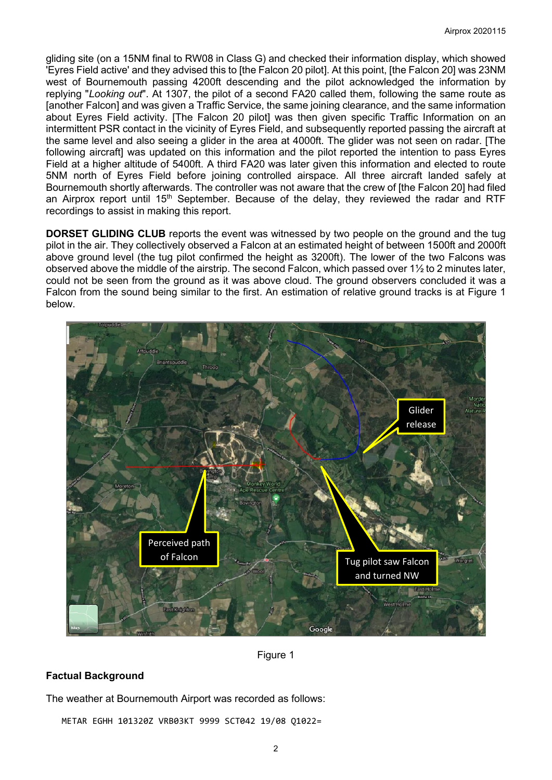gliding site (on a 15NM final to RW08 in Class G) and checked their information display, which showed 'Eyres Field active' and they advised this to [the Falcon 20 pilot]. At this point, [the Falcon 20] was 23NM west of Bournemouth passing 4200ft descending and the pilot acknowledged the information by replying "*Looking out*". At 1307, the pilot of a second FA20 called them, following the same route as [another Falcon] and was given a Traffic Service, the same joining clearance, and the same information about Eyres Field activity. [The Falcon 20 pilot] was then given specific Traffic Information on an intermittent PSR contact in the vicinity of Eyres Field, and subsequently reported passing the aircraft at the same level and also seeing a glider in the area at 4000ft. The glider was not seen on radar. [The following aircraft] was updated on this information and the pilot reported the intention to pass Eyres Field at a higher altitude of 5400ft. A third FA20 was later given this information and elected to route 5NM north of Eyres Field before joining controlled airspace. All three aircraft landed safely at Bournemouth shortly afterwards. The controller was not aware that the crew of [the Falcon 20] had filed an Airprox report until  $15<sup>th</sup>$  September. Because of the delay, they reviewed the radar and RTF recordings to assist in making this report.

**DORSET GLIDING CLUB** reports the event was witnessed by two people on the ground and the tug pilot in the air. They collectively observed a Falcon at an estimated height of between 1500ft and 2000ft above ground level (the tug pilot confirmed the height as 3200ft). The lower of the two Falcons was observed above the middle of the airstrip. The second Falcon, which passed over  $1\frac{1}{2}$  to 2 minutes later, could not be seen from the ground as it was above cloud. The ground observers concluded it was a Falcon from the sound being similar to the first. An estimation of relative ground tracks is at Figure 1 below.



Figure 1

### **Factual Background**

The weather at Bournemouth Airport was recorded as follows:

METAR EGHH 101320Z VRB03KT 9999 SCT042 19/08 Q1022=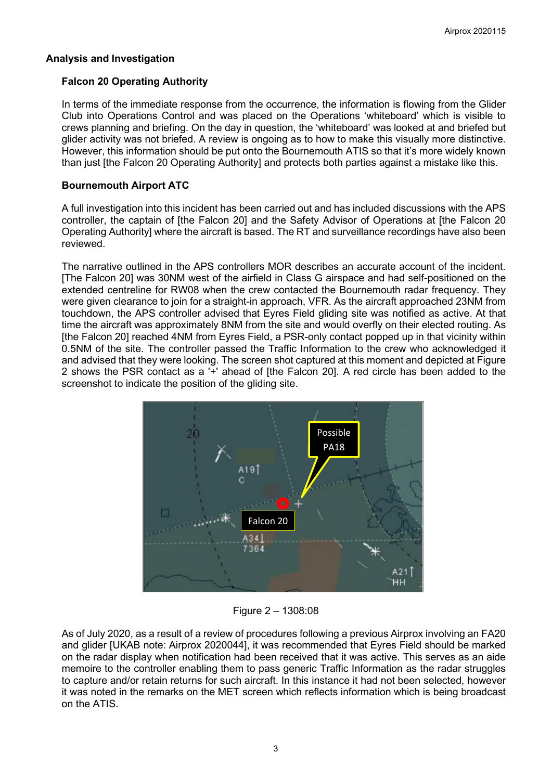#### **Analysis and Investigation**

#### **Falcon 20 Operating Authority**

In terms of the immediate response from the occurrence, the information is flowing from the Glider Club into Operations Control and was placed on the Operations 'whiteboard' which is visible to crews planning and briefing. On the day in question, the 'whiteboard' was looked at and briefed but glider activity was not briefed. A review is ongoing as to how to make this visually more distinctive. However, this information should be put onto the Bournemouth ATIS so that it's more widely known than just [the Falcon 20 Operating Authority] and protects both parties against a mistake like this.

### **Bournemouth Airport ATC**

A full investigation into this incident has been carried out and has included discussions with the APS controller, the captain of [the Falcon 20] and the Safety Advisor of Operations at [the Falcon 20 Operating Authority] where the aircraft is based. The RT and surveillance recordings have also been reviewed.

The narrative outlined in the APS controllers MOR describes an accurate account of the incident. [The Falcon 20] was 30NM west of the airfield in Class G airspace and had self-positioned on the extended centreline for RW08 when the crew contacted the Bournemouth radar frequency. They were given clearance to join for a straight-in approach, VFR. As the aircraft approached 23NM from touchdown, the APS controller advised that Eyres Field gliding site was notified as active. At that time the aircraft was approximately 8NM from the site and would overfly on their elected routing. As [the Falcon 20] reached 4NM from Eyres Field, a PSR-only contact popped up in that vicinity within 0.5NM of the site. The controller passed the Traffic Information to the crew who acknowledged it and advised that they were looking. The screen shot captured at this moment and depicted at Figure 2 shows the PSR contact as a '+' ahead of [the Falcon 20]. A red circle has been added to the screenshot to indicate the position of the gliding site.



Figure 2 – 1308:08

As of July 2020, as a result of a review of procedures following a previous Airprox involving an FA20 and glider [UKAB note: Airprox 2020044], it was recommended that Eyres Field should be marked on the radar display when notification had been received that it was active. This serves as an aide memoire to the controller enabling them to pass generic Traffic Information as the radar struggles to capture and/or retain returns for such aircraft. In this instance it had not been selected, however it was noted in the remarks on the MET screen which reflects information which is being broadcast on the ATIS.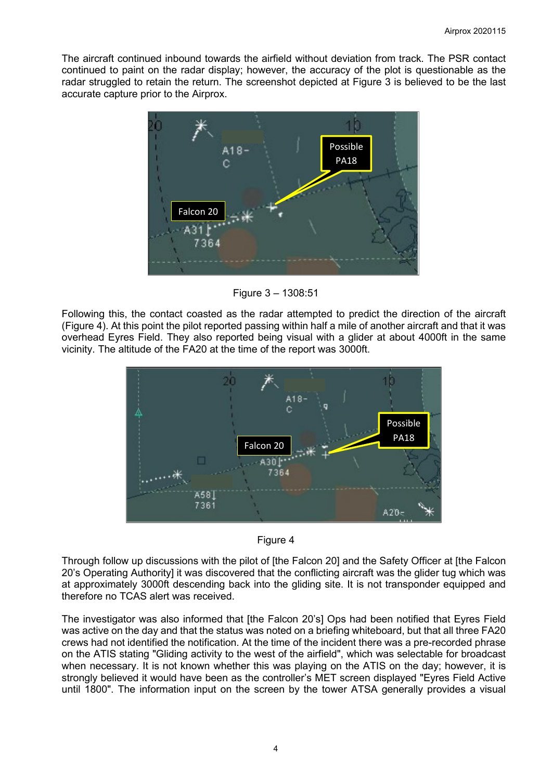The aircraft continued inbound towards the airfield without deviation from track. The PSR contact continued to paint on the radar display; however, the accuracy of the plot is questionable as the radar struggled to retain the return. The screenshot depicted at Figure 3 is believed to be the last accurate capture prior to the Airprox.



Figure 3 – 1308:51

Following this, the contact coasted as the radar attempted to predict the direction of the aircraft (Figure 4). At this point the pilot reported passing within half a mile of another aircraft and that it was overhead Eyres Field. They also reported being visual with a glider at about 4000ft in the same vicinity. The altitude of the FA20 at the time of the report was 3000ft.





Through follow up discussions with the pilot of [the Falcon 20] and the Safety Officer at [the Falcon 20's Operating Authority] it was discovered that the conflicting aircraft was the glider tug which was at approximately 3000ft descending back into the gliding site. It is not transponder equipped and therefore no TCAS alert was received.

The investigator was also informed that [the Falcon 20's] Ops had been notified that Eyres Field was active on the day and that the status was noted on a briefing whiteboard, but that all three FA20 crews had not identified the notification. At the time of the incident there was a pre-recorded phrase on the ATIS stating "Gliding activity to the west of the airfield", which was selectable for broadcast when necessary. It is not known whether this was playing on the ATIS on the day; however, it is strongly believed it would have been as the controller's MET screen displayed "Eyres Field Active until 1800". The information input on the screen by the tower ATSA generally provides a visual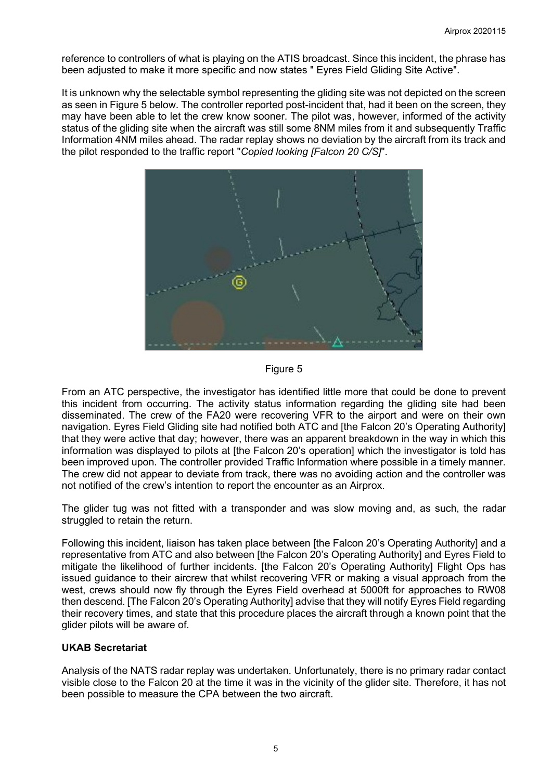reference to controllers of what is playing on the ATIS broadcast. Since this incident, the phrase has been adjusted to make it more specific and now states " Eyres Field Gliding Site Active".

It is unknown why the selectable symbol representing the gliding site was not depicted on the screen as seen in Figure 5 below. The controller reported post-incident that, had it been on the screen, they may have been able to let the crew know sooner. The pilot was, however, informed of the activity status of the gliding site when the aircraft was still some 8NM miles from it and subsequently Traffic Information 4NM miles ahead. The radar replay shows no deviation by the aircraft from its track and the pilot responded to the traffic report "*Copied looking [Falcon 20 C/S]*".



#### Figure 5

From an ATC perspective, the investigator has identified little more that could be done to prevent this incident from occurring. The activity status information regarding the gliding site had been disseminated. The crew of the FA20 were recovering VFR to the airport and were on their own navigation. Eyres Field Gliding site had notified both ATC and [the Falcon 20's Operating Authority] that they were active that day; however, there was an apparent breakdown in the way in which this information was displayed to pilots at [the Falcon 20's operation] which the investigator is told has been improved upon. The controller provided Traffic Information where possible in a timely manner. The crew did not appear to deviate from track, there was no avoiding action and the controller was not notified of the crew's intention to report the encounter as an Airprox.

The glider tug was not fitted with a transponder and was slow moving and, as such, the radar struggled to retain the return.

Following this incident, liaison has taken place between [the Falcon 20's Operating Authority] and a representative from ATC and also between [the Falcon 20's Operating Authority] and Eyres Field to mitigate the likelihood of further incidents. [the Falcon 20's Operating Authority] Flight Ops has issued guidance to their aircrew that whilst recovering VFR or making a visual approach from the west, crews should now fly through the Eyres Field overhead at 5000ft for approaches to RW08 then descend. [The Falcon 20's Operating Authority] advise that they will notify Eyres Field regarding their recovery times, and state that this procedure places the aircraft through a known point that the glider pilots will be aware of.

### **UKAB Secretariat**

Analysis of the NATS radar replay was undertaken. Unfortunately, there is no primary radar contact visible close to the Falcon 20 at the time it was in the vicinity of the glider site. Therefore, it has not been possible to measure the CPA between the two aircraft.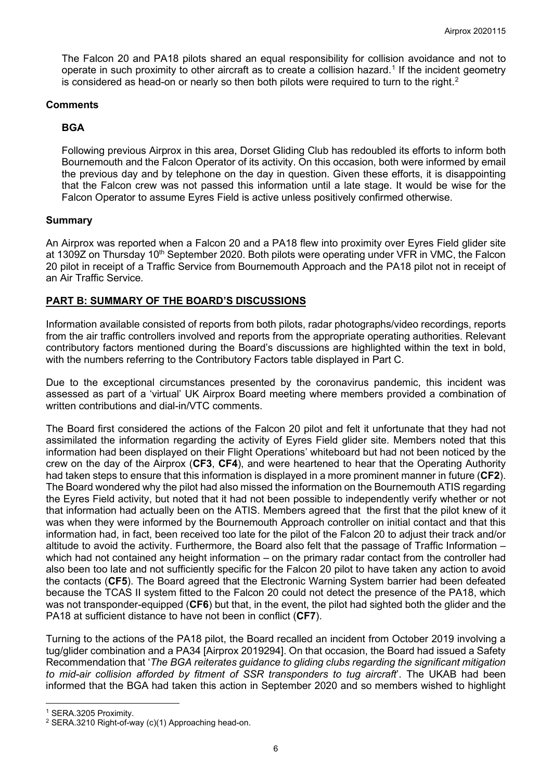The Falcon 20 and PA18 pilots shared an equal responsibility for collision avoidance and not to operate in such proximity to other aircraft as to create a collision hazard. [1](#page-5-0) If the incident geometry is considered as head-on or nearly so then both pilots were required to turn to the right. $^{\rm 2}$  $^{\rm 2}$  $^{\rm 2}$ 

### **Comments**

## **BGA**

Following previous Airprox in this area, Dorset Gliding Club has redoubled its efforts to inform both Bournemouth and the Falcon Operator of its activity. On this occasion, both were informed by email the previous day and by telephone on the day in question. Given these efforts, it is disappointing that the Falcon crew was not passed this information until a late stage. It would be wise for the Falcon Operator to assume Eyres Field is active unless positively confirmed otherwise.

### **Summary**

An Airprox was reported when a Falcon 20 and a PA18 flew into proximity over Eyres Field glider site at 1309Z on Thursday 10<sup>th</sup> September 2020. Both pilots were operating under VFR in VMC, the Falcon 20 pilot in receipt of a Traffic Service from Bournemouth Approach and the PA18 pilot not in receipt of an Air Traffic Service.

### **PART B: SUMMARY OF THE BOARD'S DISCUSSIONS**

Information available consisted of reports from both pilots, radar photographs/video recordings, reports from the air traffic controllers involved and reports from the appropriate operating authorities. Relevant contributory factors mentioned during the Board's discussions are highlighted within the text in bold, with the numbers referring to the Contributory Factors table displayed in Part C.

Due to the exceptional circumstances presented by the coronavirus pandemic, this incident was assessed as part of a 'virtual' UK Airprox Board meeting where members provided a combination of written contributions and dial-in/VTC comments.

The Board first considered the actions of the Falcon 20 pilot and felt it unfortunate that they had not assimilated the information regarding the activity of Eyres Field glider site. Members noted that this information had been displayed on their Flight Operations' whiteboard but had not been noticed by the crew on the day of the Airprox (**CF3**, **CF4**), and were heartened to hear that the Operating Authority had taken steps to ensure that this information is displayed in a more prominent manner in future (**CF2**). The Board wondered why the pilot had also missed the information on the Bournemouth ATIS regarding the Eyres Field activity, but noted that it had not been possible to independently verify whether or not that information had actually been on the ATIS. Members agreed that the first that the pilot knew of it was when they were informed by the Bournemouth Approach controller on initial contact and that this information had, in fact, been received too late for the pilot of the Falcon 20 to adjust their track and/or altitude to avoid the activity. Furthermore, the Board also felt that the passage of Traffic Information – which had not contained any height information – on the primary radar contact from the controller had also been too late and not sufficiently specific for the Falcon 20 pilot to have taken any action to avoid the contacts (**CF5**). The Board agreed that the Electronic Warning System barrier had been defeated because the TCAS II system fitted to the Falcon 20 could not detect the presence of the PA18, which was not transponder-equipped (**CF6**) but that, in the event, the pilot had sighted both the glider and the PA18 at sufficient distance to have not been in conflict (**CF7**).

Turning to the actions of the PA18 pilot, the Board recalled an incident from October 2019 involving a tug/glider combination and a PA34 [Airprox 2019294]. On that occasion, the Board had issued a Safety Recommendation that '*The BGA reiterates guidance to gliding clubs regarding the significant mitigation to mid-air collision afforded by fitment of SSR transponders to tug aircraft*'. The UKAB had been informed that the BGA had taken this action in September 2020 and so members wished to highlight

<span id="page-5-0"></span><sup>1</sup> SERA.3205 Proximity.

<span id="page-5-1"></span><sup>2</sup> SERA.3210 Right-of-way (c)(1) Approaching head-on.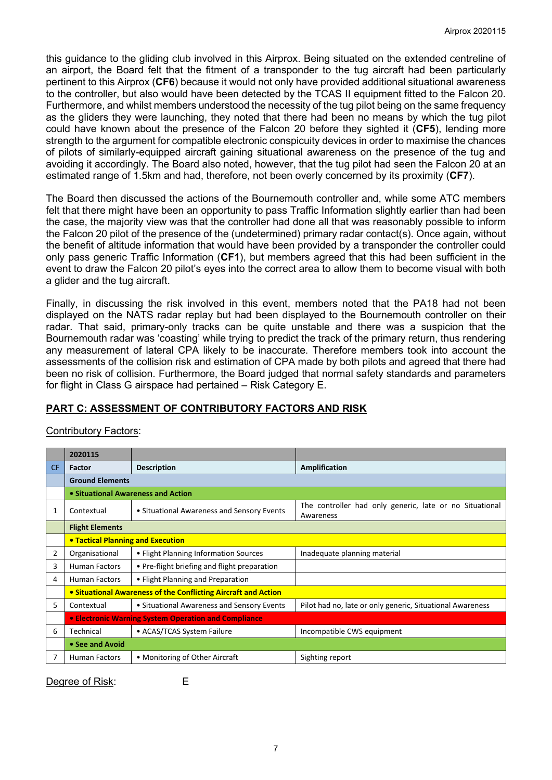this guidance to the gliding club involved in this Airprox. Being situated on the extended centreline of an airport, the Board felt that the fitment of a transponder to the tug aircraft had been particularly pertinent to this Airprox (**CF6**) because it would not only have provided additional situational awareness to the controller, but also would have been detected by the TCAS II equipment fitted to the Falcon 20. Furthermore, and whilst members understood the necessity of the tug pilot being on the same frequency as the gliders they were launching, they noted that there had been no means by which the tug pilot could have known about the presence of the Falcon 20 before they sighted it (**CF5**), lending more strength to the argument for compatible electronic conspicuity devices in order to maximise the chances of pilots of similarly-equipped aircraft gaining situational awareness on the presence of the tug and avoiding it accordingly. The Board also noted, however, that the tug pilot had seen the Falcon 20 at an estimated range of 1.5km and had, therefore, not been overly concerned by its proximity (**CF7**).

The Board then discussed the actions of the Bournemouth controller and, while some ATC members felt that there might have been an opportunity to pass Traffic Information slightly earlier than had been the case, the majority view was that the controller had done all that was reasonably possible to inform the Falcon 20 pilot of the presence of the (undetermined) primary radar contact(s). Once again, without the benefit of altitude information that would have been provided by a transponder the controller could only pass generic Traffic Information (**CF1**), but members agreed that this had been sufficient in the event to draw the Falcon 20 pilot's eyes into the correct area to allow them to become visual with both a glider and the tug aircraft.

Finally, in discussing the risk involved in this event, members noted that the PA18 had not been displayed on the NATS radar replay but had been displayed to the Bournemouth controller on their radar. That said, primary-only tracks can be quite unstable and there was a suspicion that the Bournemouth radar was 'coasting' while trying to predict the track of the primary return, thus rendering any measurement of lateral CPA likely to be inaccurate. Therefore members took into account the assessments of the collision risk and estimation of CPA made by both pilots and agreed that there had been no risk of collision. Furthermore, the Board judged that normal safety standards and parameters for flight in Class G airspace had pertained – Risk Category E.

## **PART C: ASSESSMENT OF CONTRIBUTORY FACTORS AND RISK**

| <b>Contributory Factors:</b> |  |
|------------------------------|--|
|                              |  |

|     | 2020115                                                        |                                              |                                                                      |  |  |  |  |  |  |
|-----|----------------------------------------------------------------|----------------------------------------------|----------------------------------------------------------------------|--|--|--|--|--|--|
| CF. | <b>Factor</b>                                                  | <b>Description</b>                           | Amplification                                                        |  |  |  |  |  |  |
|     | <b>Ground Elements</b>                                         |                                              |                                                                      |  |  |  |  |  |  |
|     | • Situational Awareness and Action                             |                                              |                                                                      |  |  |  |  |  |  |
| 1   | Contextual                                                     | • Situational Awareness and Sensory Events   | The controller had only generic, late or no Situational<br>Awareness |  |  |  |  |  |  |
|     | <b>Flight Elements</b>                                         |                                              |                                                                      |  |  |  |  |  |  |
|     | <b>• Tactical Planning and Execution</b>                       |                                              |                                                                      |  |  |  |  |  |  |
| 2   | Organisational                                                 | • Flight Planning Information Sources        | Inadequate planning material                                         |  |  |  |  |  |  |
| 3   | <b>Human Factors</b>                                           | • Pre-flight briefing and flight preparation |                                                                      |  |  |  |  |  |  |
| 4   | <b>Human Factors</b>                                           | • Flight Planning and Preparation            |                                                                      |  |  |  |  |  |  |
|     | • Situational Awareness of the Conflicting Aircraft and Action |                                              |                                                                      |  |  |  |  |  |  |
| 5   | Contextual                                                     | • Situational Awareness and Sensory Events   | Pilot had no, late or only generic, Situational Awareness            |  |  |  |  |  |  |
|     | • Electronic Warning System Operation and Compliance           |                                              |                                                                      |  |  |  |  |  |  |
| 6   | Technical                                                      | • ACAS/TCAS System Failure                   | Incompatible CWS equipment                                           |  |  |  |  |  |  |
|     | • See and Avoid                                                |                                              |                                                                      |  |  |  |  |  |  |
|     | <b>Human Factors</b>                                           | • Monitoring of Other Aircraft               | Sighting report                                                      |  |  |  |  |  |  |

Degree of Risk: E